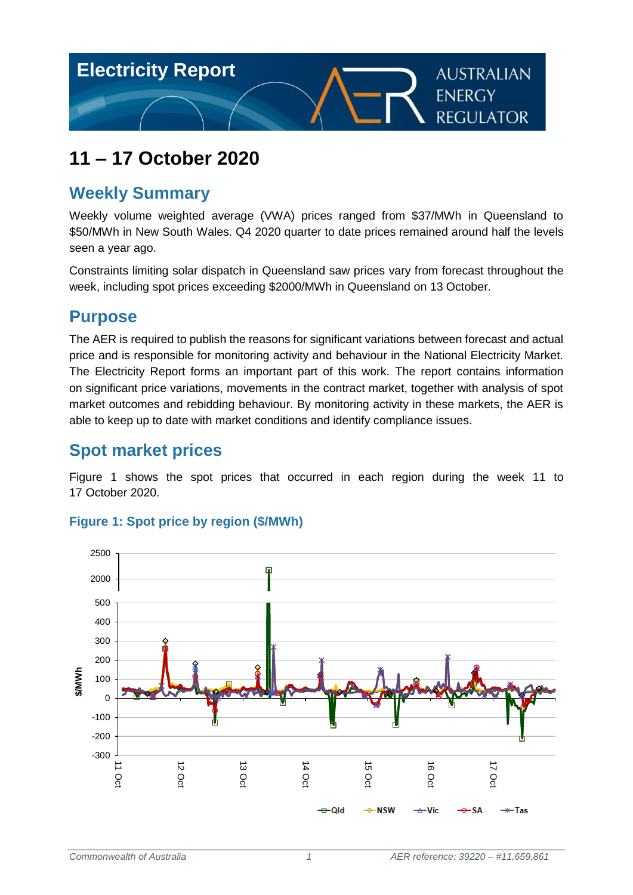

# **11 – 17 October 2020**

# **Weekly Summary**

Weekly volume weighted average (VWA) prices ranged from \$37/MWh in Queensland to \$50/MWh in New South Wales. Q4 2020 quarter to date prices remained around half the levels seen a year ago.

Constraints limiting solar dispatch in Queensland saw prices vary from forecast throughout the week, including spot prices exceeding \$2000/MWh in Queensland on 13 October.

## **Purpose**

The AER is required to publish the reasons for significant variations between forecast and actual price and is responsible for monitoring activity and behaviour in the National Electricity Market. The Electricity Report forms an important part of this work. The report contains information on significant price variations, movements in the contract market, together with analysis of spot market outcomes and rebidding behaviour. By monitoring activity in these markets, the AER is able to keep up to date with market conditions and identify compliance issues.

# **Spot market prices**

[Figure 1](#page-0-0) shows the spot prices that occurred in each region during the week 11 to 17 October 2020.



## <span id="page-0-0"></span>**Figure 1: Spot price by region (\$/MWh)**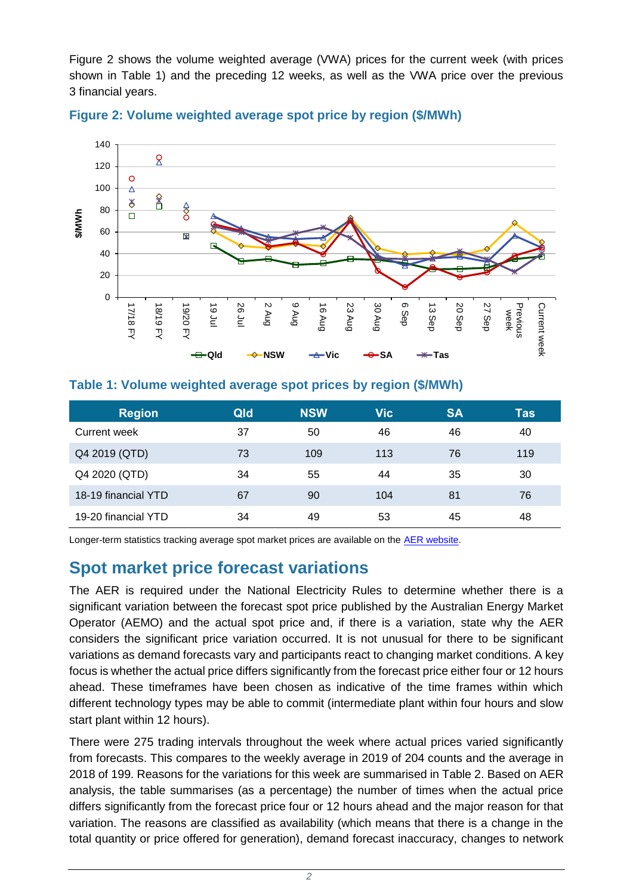[Figure 2](#page-1-0) shows the volume weighted average (VWA) prices for the current week (with prices shown in [Table 1\)](#page-1-1) and the preceding 12 weeks, as well as the VWA price over the previous 3 financial years.



#### <span id="page-1-0"></span>**Figure 2: Volume weighted average spot price by region (\$/MWh)**

#### <span id="page-1-1"></span>**Table 1: Volume weighted average spot prices by region (\$/MWh)**

| <b>Region</b>       | Qld | <b>NSW</b> | <b>Vic</b> | <b>SA</b> | <b>Tas</b> |
|---------------------|-----|------------|------------|-----------|------------|
| Current week        | 37  | 50         | 46         | 46        | 40         |
| Q4 2019 (QTD)       | 73  | 109        | 113        | 76        | 119        |
| Q4 2020 (QTD)       | 34  | 55         | 44         | 35        | 30         |
| 18-19 financial YTD | 67  | 90         | 104        | 81        | 76         |
| 19-20 financial YTD | 34  | 49         | 53         | 45        | 48         |

Longer-term statistics tracking average spot market prices are available on the AER website.

## **Spot market price forecast variations**

The AER is required under the National Electricity Rules to determine whether there is a significant variation between the forecast spot price published by the Australian Energy Market Operator (AEMO) and the actual spot price and, if there is a variation, state why the AER considers the significant price variation occurred. It is not unusual for there to be significant variations as demand forecasts vary and participants react to changing market conditions. A key focus is whether the actual price differs significantly from the forecast price either four or 12 hours ahead. These timeframes have been chosen as indicative of the time frames within which different technology types may be able to commit (intermediate plant within four hours and slow start plant within 12 hours).

There were 275 trading intervals throughout the week where actual prices varied significantly from forecasts. This compares to the weekly average in 2019 of 204 counts and the average in 2018 of 199. Reasons for the variations for this week are summarised in [Table 2.](#page-2-0) Based on AER analysis, the table summarises (as a percentage) the number of times when the actual price differs significantly from the forecast price four or 12 hours ahead and the major reason for that variation. The reasons are classified as availability (which means that there is a change in the total quantity or price offered for generation), demand forecast inaccuracy, changes to network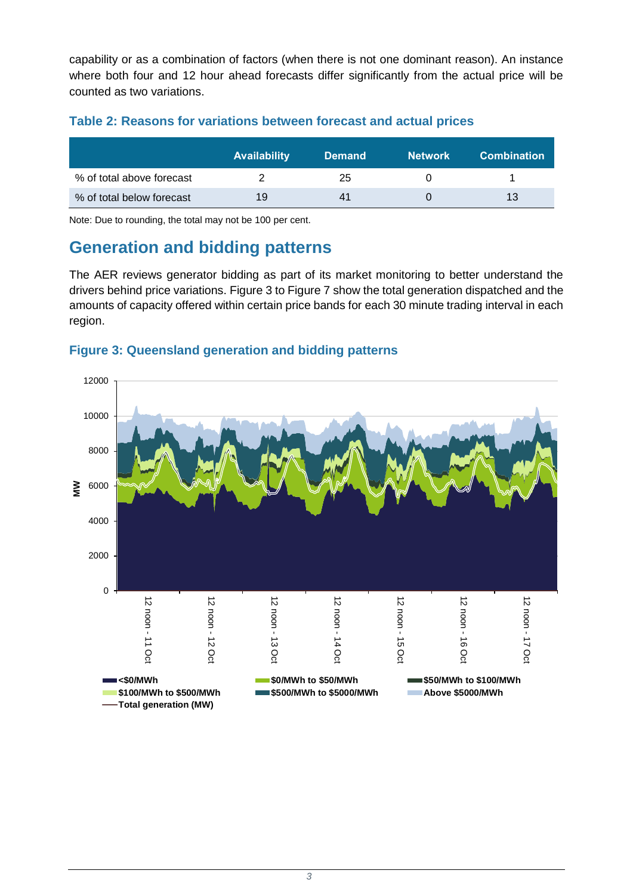capability or as a combination of factors (when there is not one dominant reason). An instance where both four and 12 hour ahead forecasts differ significantly from the actual price will be counted as two variations.

<span id="page-2-0"></span>

|  |  | Table 2: Reasons for variations between forecast and actual prices |  |  |  |
|--|--|--------------------------------------------------------------------|--|--|--|
|  |  |                                                                    |  |  |  |

|                           | <b>Availability</b> | <b>Demand</b> | <b>Network</b> | <b>Combination</b> |
|---------------------------|---------------------|---------------|----------------|--------------------|
| % of total above forecast |                     | 25            |                |                    |
| % of total below forecast | 19                  | 41            |                | 13                 |

Note: Due to rounding, the total may not be 100 per cent.

# **Generation and bidding patterns**

The AER reviews generator bidding as part of its market monitoring to better understand the drivers behind price variations. [Figure 3](#page-2-1) to [Figure 7](#page-4-0) show the total generation dispatched and the amounts of capacity offered within certain price bands for each 30 minute trading interval in each region.



#### <span id="page-2-1"></span>**Figure 3: Queensland generation and bidding patterns**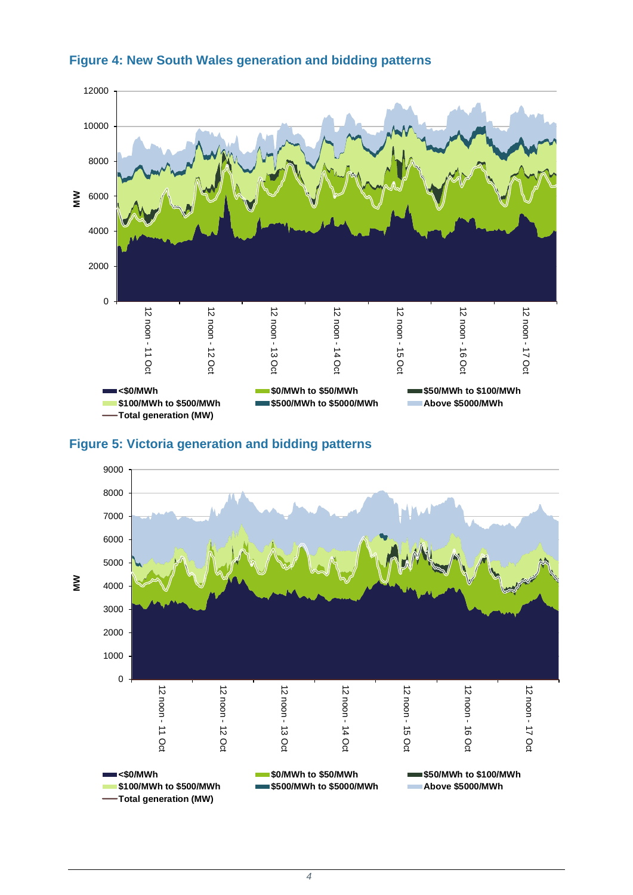





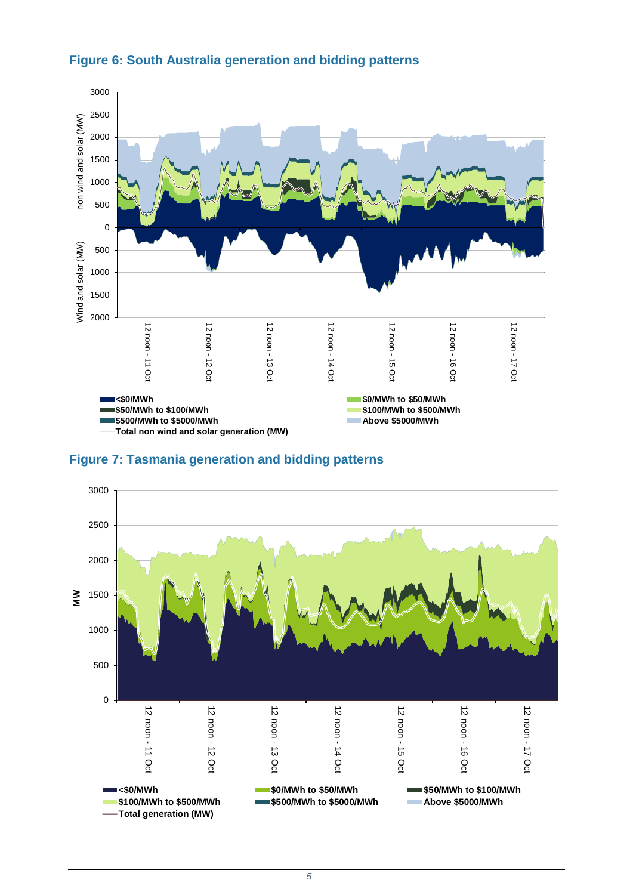

#### **Figure 6: South Australia generation and bidding patterns**

<span id="page-4-0"></span>

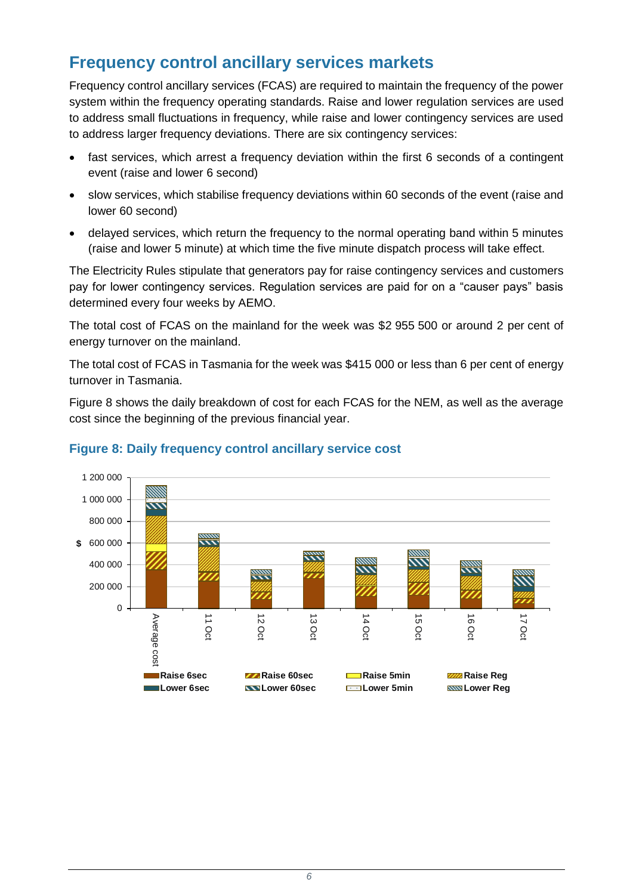# **Frequency control ancillary services markets**

Frequency control ancillary services (FCAS) are required to maintain the frequency of the power system within the frequency operating standards. Raise and lower regulation services are used to address small fluctuations in frequency, while raise and lower contingency services are used to address larger frequency deviations. There are six contingency services:

- fast services, which arrest a frequency deviation within the first 6 seconds of a contingent event (raise and lower 6 second)
- slow services, which stabilise frequency deviations within 60 seconds of the event (raise and lower 60 second)
- delayed services, which return the frequency to the normal operating band within 5 minutes (raise and lower 5 minute) at which time the five minute dispatch process will take effect.

The Electricity Rules stipulate that generators pay for raise contingency services and customers pay for lower contingency services. Regulation services are paid for on a "causer pays" basis determined every four weeks by AEMO.

The total cost of FCAS on the mainland for the week was \$2 955 500 or around 2 per cent of energy turnover on the mainland.

The total cost of FCAS in Tasmania for the week was \$415 000 or less than 6 per cent of energy turnover in Tasmania.

[Figure 8](#page-5-0) shows the daily breakdown of cost for each FCAS for the NEM, as well as the average cost since the beginning of the previous financial year.



#### <span id="page-5-0"></span>**Figure 8: Daily frequency control ancillary service cost**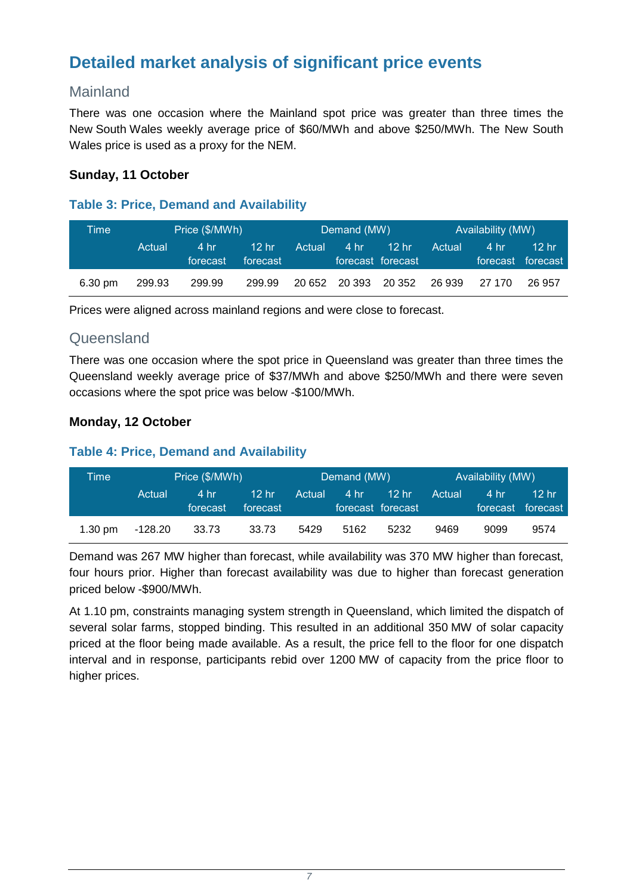# **Detailed market analysis of significant price events**

## Mainland

There was one occasion where the Mainland spot price was greater than three times the New South Wales weekly average price of \$60/MWh and above \$250/MWh. The New South Wales price is used as a proxy for the NEM.

#### **Sunday, 11 October**

#### **Table 3: Price, Demand and Availability**

| Time    | Price (\$/MWh) |                  |                     | Demand (MW) |      |                                       | Availability (MW) |      |                                       |
|---------|----------------|------------------|---------------------|-------------|------|---------------------------------------|-------------------|------|---------------------------------------|
|         | Actual         | 4 hr<br>forecast | $12$ hr<br>forecast | Actual      | 4 hr | 12 <sub>hr</sub><br>forecast forecast | Actual            | 4 hr | 12 <sub>hr</sub><br>forecast forecast |
| 6.30 pm | 299.93         | 299.99           | 299.99              |             |      | 20 652 20 393 20 352 26 939 27 170    |                   |      | 26 957                                |

Prices were aligned across mainland regions and were close to forecast.

## **Queensland**

There was one occasion where the spot price in Queensland was greater than three times the Queensland weekly average price of \$37/MWh and above \$250/MWh and there were seven occasions where the spot price was below -\$100/MWh.

### **Monday, 12 October**

#### **Table 4: Price, Demand and Availability**

| Time              | Price (\$/MWh) |                  |                     |        | Demand (MW) |                                       |        | Availability (MW) |                             |  |
|-------------------|----------------|------------------|---------------------|--------|-------------|---------------------------------------|--------|-------------------|-----------------------------|--|
|                   | Actual         | 4 hr<br>forecast | $12$ hr<br>forecast | Actual | 4 hr        | 12 <sub>hr</sub><br>forecast forecast | Actual | <b>4 hr</b>       | 12 hr<br>'forecast Torecast |  |
| $1.30 \text{ pm}$ | -128.20        | 33.73            | 33.73               | 5429   | 5162        | 5232                                  | 9469   | 9099              | 9574                        |  |

Demand was 267 MW higher than forecast, while availability was 370 MW higher than forecast, four hours prior. Higher than forecast availability was due to higher than forecast generation priced below -\$900/MWh.

At 1.10 pm, constraints managing system strength in Queensland, which limited the dispatch of several solar farms, stopped binding. This resulted in an additional 350 MW of solar capacity priced at the floor being made available. As a result, the price fell to the floor for one dispatch interval and in response, participants rebid over 1200 MW of capacity from the price floor to higher prices.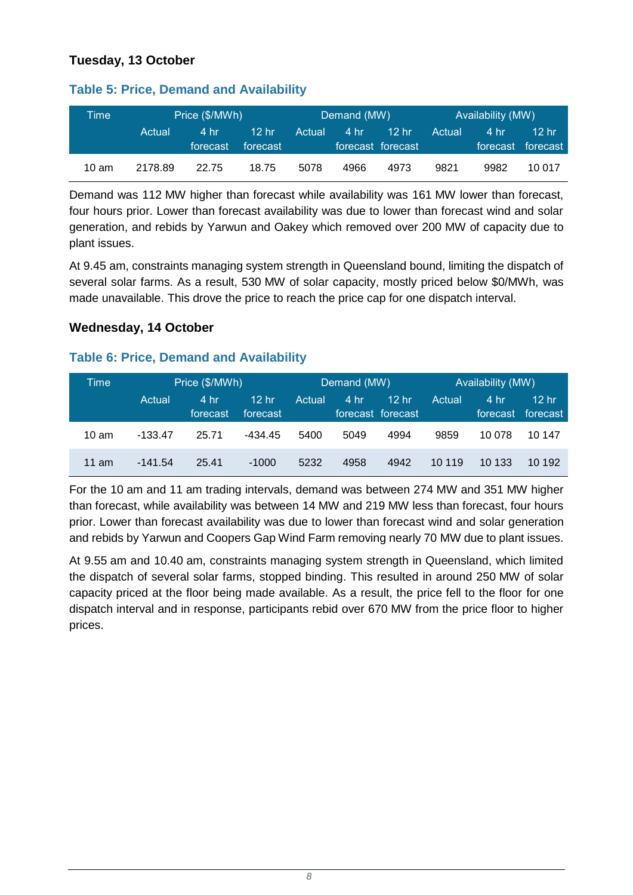### **Tuesday, 13 October**

| Time            | Price (\$/MWh) |                  |                              | Demand (MW) |      |                                                | Availability (MW) |      |                             |
|-----------------|----------------|------------------|------------------------------|-------------|------|------------------------------------------------|-------------------|------|-----------------------------|
|                 | Actual         | 4 hr<br>forecast | 12 <sub>hr</sub><br>forecast | 'Actual     | 4 hr | 12 <sub>hr</sub><br>forecast forecast <b>b</b> | Actual            | 4 hr | 12 hr.<br>forecast forecast |
| $10 \text{ am}$ | 2178.89        | 22.75            | 18.75                        | 5078        | 4966 | 4973                                           | 9821              | 9982 | 10 017                      |

**Table 5: Price, Demand and Availability**

Demand was 112 MW higher than forecast while availability was 161 MW lower than forecast, four hours prior. Lower than forecast availability was due to lower than forecast wind and solar generation, and rebids by Yarwun and Oakey which removed over 200 MW of capacity due to plant issues.

At 9.45 am, constraints managing system strength in Queensland bound, limiting the dispatch of several solar farms. As a result, 530 MW of solar capacity, mostly priced below \$0/MWh, was made unavailable. This drove the price to reach the price cap for one dispatch interval.

#### **Wednesday, 14 October**

#### **Table 6: Price, Demand and Availability**

| Time            |           | Price (\$/MWh)   | Demand (MW)                  |        |      | Availability (MW)                     |        |                  |                   |
|-----------------|-----------|------------------|------------------------------|--------|------|---------------------------------------|--------|------------------|-------------------|
|                 | Actual    | 4 hr<br>forecast | 12 <sub>hr</sub><br>forecast | Actual | 4 hr | 12 <sub>hr</sub><br>forecast forecast | Actual | 4 hr<br>forecast | 12 hr<br>forecast |
| $10 \text{ am}$ | -133.47   | 25.71            | -434.45                      | 5400   | 5049 | 4994                                  | 9859   | 10 078           | 10 147            |
| 11 am           | $-141.54$ | 25.41            | $-1000$                      | 5232   | 4958 | 4942                                  | 10 119 | 10 133           | 10 192            |

For the 10 am and 11 am trading intervals, demand was between 274 MW and 351 MW higher than forecast, while availability was between 14 MW and 219 MW less than forecast, four hours prior. Lower than forecast availability was due to lower than forecast wind and solar generation and rebids by Yarwun and Coopers Gap Wind Farm removing nearly 70 MW due to plant issues.

At 9.55 am and 10.40 am, constraints managing system strength in Queensland, which limited the dispatch of several solar farms, stopped binding. This resulted in around 250 MW of solar capacity priced at the floor being made available. As a result, the price fell to the floor for one dispatch interval and in response, participants rebid over 670 MW from the price floor to higher prices.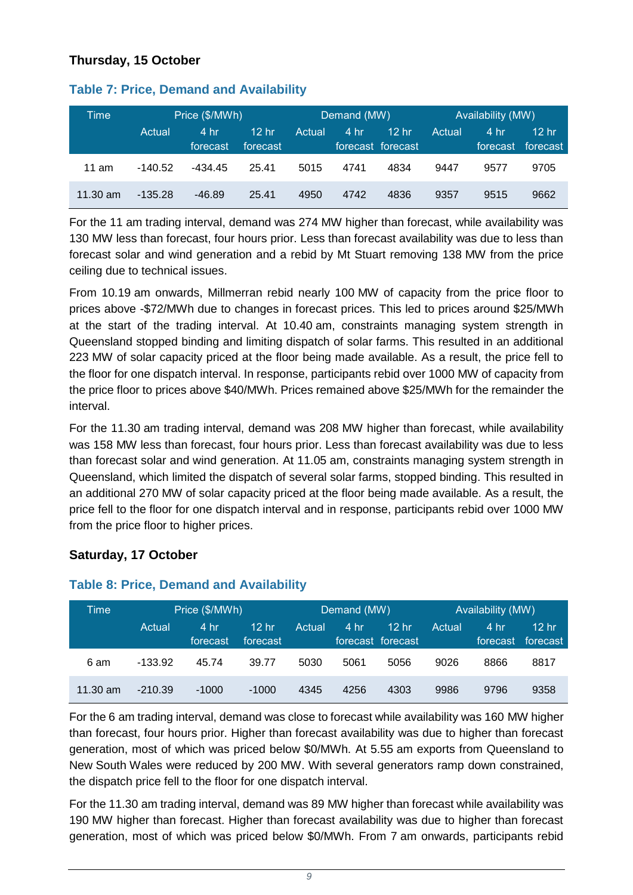### **Thursday, 15 October**

| Time       | Price (\$/MWh) |                  |                              | Demand (MW) |      |                               | Availability (MW) |                  |                              |
|------------|----------------|------------------|------------------------------|-------------|------|-------------------------------|-------------------|------------------|------------------------------|
|            | Actual         | 4 hr<br>forecast | 12 <sub>hr</sub><br>forecast | Actual      | 4 hr | $12$ hr.<br>forecast forecast | Actual            | 4 hr<br>forecast | 12 <sub>hr</sub><br>forecast |
| 11 am      | $-140.52$      | -434.45          | 25.41                        | 5015        | 4741 | 4834                          | 9447              | 9577             | 9705                         |
| $11.30$ am | $-135.28$      | $-46.89$         | 25.41                        | 4950        | 4742 | 4836                          | 9357              | 9515             | 9662                         |

#### **Table 7: Price, Demand and Availability**

For the 11 am trading interval, demand was 274 MW higher than forecast, while availability was 130 MW less than forecast, four hours prior. Less than forecast availability was due to less than forecast solar and wind generation and a rebid by Mt Stuart removing 138 MW from the price ceiling due to technical issues.

From 10.19 am onwards, Millmerran rebid nearly 100 MW of capacity from the price floor to prices above -\$72/MWh due to changes in forecast prices. This led to prices around \$25/MWh at the start of the trading interval. At 10.40 am, constraints managing system strength in Queensland stopped binding and limiting dispatch of solar farms. This resulted in an additional 223 MW of solar capacity priced at the floor being made available. As a result, the price fell to the floor for one dispatch interval. In response, participants rebid over 1000 MW of capacity from the price floor to prices above \$40/MWh. Prices remained above \$25/MWh for the remainder the interval.

For the 11.30 am trading interval, demand was 208 MW higher than forecast, while availability was 158 MW less than forecast, four hours prior. Less than forecast availability was due to less than forecast solar and wind generation. At 11.05 am, constraints managing system strength in Queensland, which limited the dispatch of several solar farms, stopped binding. This resulted in an additional 270 MW of solar capacity priced at the floor being made available. As a result, the price fell to the floor for one dispatch interval and in response, participants rebid over 1000 MW from the price floor to higher prices.

#### **Saturday, 17 October**

| Time       | Price (\$/MWh) |                  |                              |        | Demand (MW) |                                       |        | Availability (MW) |                   |  |
|------------|----------------|------------------|------------------------------|--------|-------------|---------------------------------------|--------|-------------------|-------------------|--|
|            | Actual         | 4 hr<br>forecast | 12 <sub>hr</sub><br>forecast | Actual | 4 hr        | 12 <sub>hr</sub><br>forecast forecast | Actual | 4 hr<br>forecast  | 12 hr<br>forecast |  |
| 6 am       | $-133.92$      | 45.74            | 39.77                        | 5030   | 5061        | 5056                                  | 9026   | 8866              | 8817              |  |
| $11.30$ am | $-210.39$      | $-1000$          | $-1000$                      | 4345   | 4256        | 4303                                  | 9986   | 9796              | 9358              |  |

#### **Table 8: Price, Demand and Availability**

For the 6 am trading interval, demand was close to forecast while availability was 160 MW higher than forecast, four hours prior. Higher than forecast availability was due to higher than forecast generation, most of which was priced below \$0/MWh. At 5.55 am exports from Queensland to New South Wales were reduced by 200 MW. With several generators ramp down constrained, the dispatch price fell to the floor for one dispatch interval.

For the 11.30 am trading interval, demand was 89 MW higher than forecast while availability was 190 MW higher than forecast. Higher than forecast availability was due to higher than forecast generation, most of which was priced below \$0/MWh. From 7 am onwards, participants rebid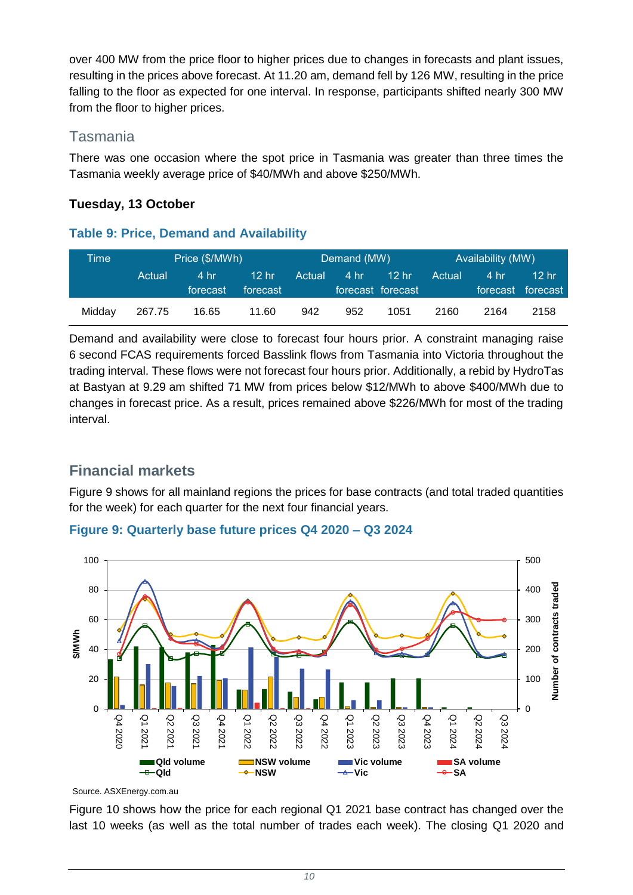over 400 MW from the price floor to higher prices due to changes in forecasts and plant issues, resulting in the prices above forecast. At 11.20 am, demand fell by 126 MW, resulting in the price falling to the floor as expected for one interval. In response, participants shifted nearly 300 MW from the floor to higher prices.

## Tasmania

There was one occasion where the spot price in Tasmania was greater than three times the Tasmania weekly average price of \$40/MWh and above \$250/MWh.

## **Tuesday, 13 October**

#### **Table 9: Price, Demand and Availability**

| Time'  | Price (\$/MWh) |                  |                              | Demand (MW) |      |                                       | Availability (MW) |      |                              |
|--------|----------------|------------------|------------------------------|-------------|------|---------------------------------------|-------------------|------|------------------------------|
|        | Actual         | 4 hr<br>forecast | 12 <sub>hr</sub><br>forecast | Actual      | 4 hr | 12 <sub>hr</sub><br>forecast forecast | Actual            | 4 hr | $12$ hr<br>forecast forecast |
| Midday | 267.75         | 16.65            | 11.60                        | 942         | 952  | 1051                                  | 2160              | 2164 | 2158                         |

Demand and availability were close to forecast four hours prior. A constraint managing raise 6 second FCAS requirements forced Basslink flows from Tasmania into Victoria throughout the trading interval. These flows were not forecast four hours prior. Additionally, a rebid by HydroTas at Bastyan at 9.29 am shifted 71 MW from prices below \$12/MWh to above \$400/MWh due to changes in forecast price. As a result, prices remained above \$226/MWh for most of the trading interval.

## **Financial markets**

[Figure 9](#page-9-0) shows for all mainland regions the prices for base contracts (and total traded quantities for the week) for each quarter for the next four financial years.

#### <span id="page-9-0"></span>**Figure 9: Quarterly base future prices Q4 2020 – Q3 2024**



Source. [ASXEnergy.com.au](https://asxenergy.com.au/)

[Figure 10](#page-10-0) shows how the price for each regional Q1 2021 base contract has changed over the last 10 weeks (as well as the total number of trades each week). The closing Q1 2020 and